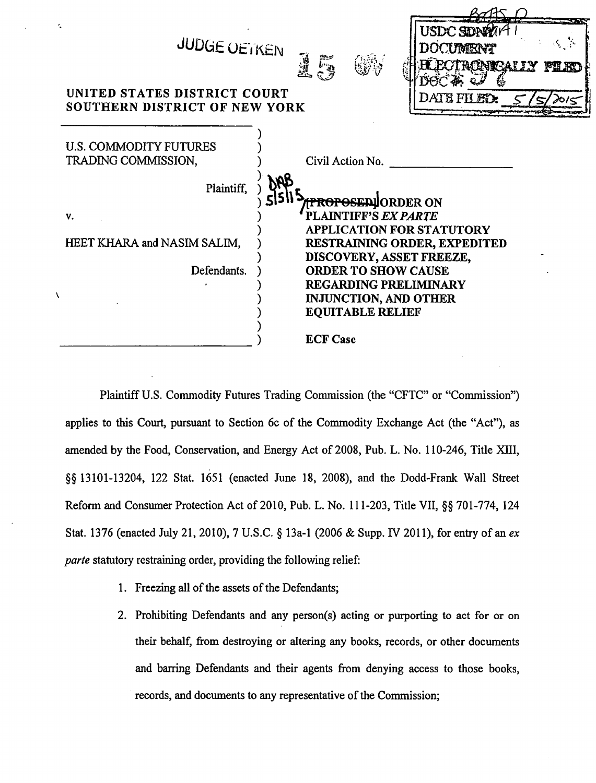

Plaintiff U.S. Commodity Futures Trading Commission (the "CFTC" or "Commission") applies to this Court, pursuant to Section 6c of the Commodity Exchange Act (the "Act"), as amended by the Food, Conservation, and Energy Act of 2008, Pub. L. No. 110-246, Title XIII, §§ 13101-13204, 122 Stat. 1651 (enacted June 18, 2008), and the Dodd-Frank Wall Street Reform and Consumer Protection Act of 2010, Pub. L. No. 111-203, Title VII, §§ 701-774, 124 Stat. 1376 (enacted July 21, 2010), 7 U.S.C.  $\S$  13a-1 (2006 & Supp. IV 2011), for entry of an ex *parte* statutory restraining order, providing the following relief:

- 1. Freezing all of the assets of the Defendants;
- 2. Prohibiting Defendants and any person(s) acting or purporting to act for or on their behalf, from destroying or altering any books, records, or other documents and barring Defendants and their agents from denying access to those books, records, and documents to any representative of the Commission;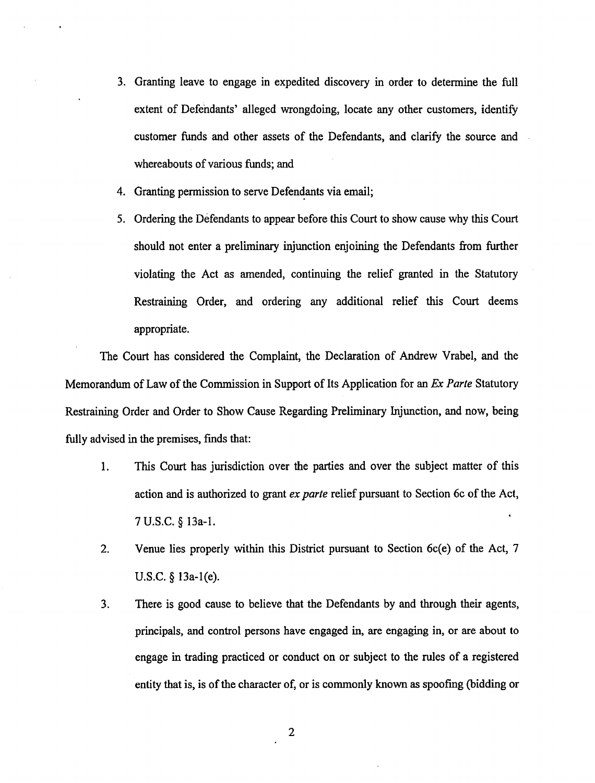- 3. Granting leave to engage in expedited discovery in order to determine the full extent of Defendants' alleged wrongdoing, locate any other customers, identify customer funds and other assets of the Defendants, and clarify the source and whereabouts of various funds; and
- 4. Granting permission to serve Defendants via email;
- 5. Ordering the Defendants to appear before this Court to show cause why this Court should not enter a preliminary injunction enjoining the Defendants from further violating the Act as amended, continuing the relief granted in the Statutory Restraining Order, and ordering any additional relief this Court deems appropriate.

The Court has considered the Complaint, the Declaration of Andrew Vrabel, and the Memorandum of Law of the Commission in Support of Its Application for an *Ex Parte* Statutory Restraining Order and Order to Show Cause Regarding Preliminary Injunction, and now, being fully advised in the premises, fmds that:

- 1. This Court has jurisdiction over the parties and over the subject matter of this action and is authorized to grant *ex parte* relief pursuant to Section 6c of the Act, 7 U.S.C. § 13a-l.
- 2. Venue lies properly within this District pursuant to Section 6c(e) of the Act, 7 U.S.C. § 13a-l(e).
- 3. There is good cause to believe that the Defendants by and through their agents, principals, and control persons have engaged in, are engaging in, or are about to engage in trading practiced or conduct on or subject to the rules of a registered entity that is, is of the character of, or is commonly known as spoofmg (bidding or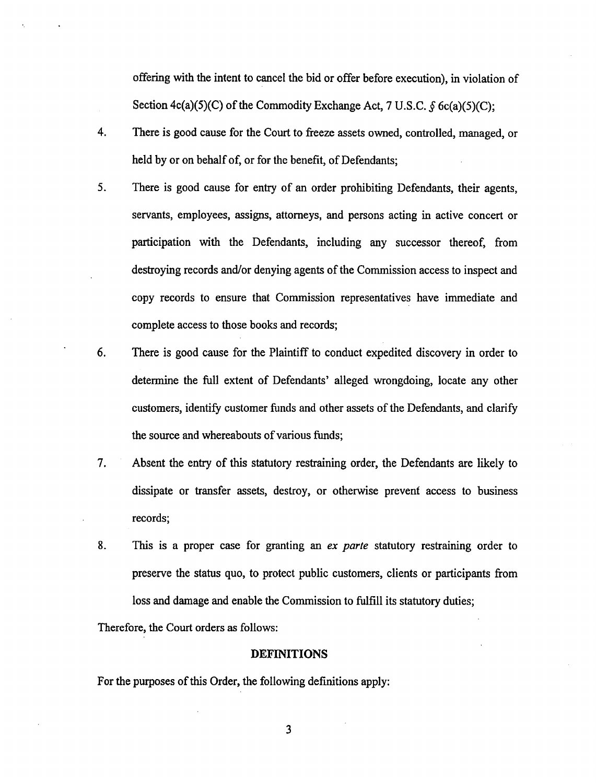offering with the intent to cancel the bid or offer before execution), in violation of Section  $4c(a)(5)(C)$  of the Commodity Exchange Act, 7 U.S.C.  $\delta$  6c(a)(5)(C);

- 4. There is good cause for the Court to freeze assets owned, controlled, managed, or held by or on behalf of, or for the benefit, of Defendants;
- 5. There is good cause for entry of an order prohibiting Defendants, their agents, servants, employees, assigns, attorneys, and persons acting in active concert or participation with the Defendants, including any successor thereof, from destroying records and/or denying agents of the Commission access to inspect and copy records to ensure that Commission representatives have immediate and complete access to those books and records;
- 6. There is good cause for the Plaintiff to conduct expedited discovery in order to determine the full extent of Defendants' alleged wrongdoing, locate any other customers, identify customer funds and other assets of the Defendants, and clarify the source and whereabouts of various funds;
- 7. Absent the entry of this statutory restraining order, the Defendants are likely to dissipate or transfer assets, destroy, or otherwise prevent access to business records;
- 8. This is a proper case for granting an *ex parte* statutory restraining order to preserve the status quo, to protect public customers, clients or participants from loss and damage and enable the Commission to fulfill its statutory duties;

Therefore, the Court orders as follows:

## DEFINITIONS

For the purposes of this Order, the following definitions apply: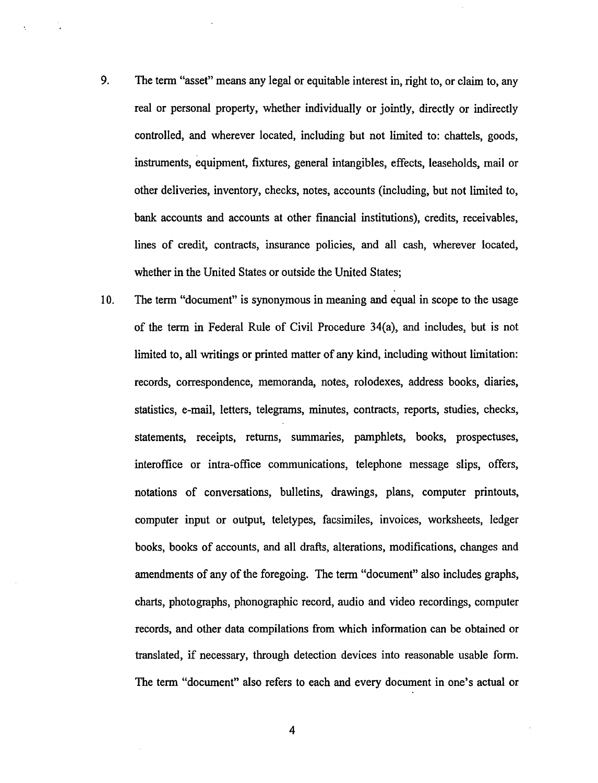- 9. The term "asset" means any legal or equitable interest in, right to, or claim to, any real or personal property, whether individually or jointly, directly or indirectly controlled, and wherever located, including but not limited to: chattels, goods, instruments, equipment, fixtures, general intangibles, effects, leaseholds, mail or other deliveries, inventory, checks, notes, accounts (including, but not limited to, bank accounts and accounts at other financial institutions), credits, receivables, lines of credit, contracts, insurance policies, and all cash, wherever located, whether in the United States or outside the United States;
- 10. The term "document" is synonymous in meaning and equal in scope to the usage of the term in Federal Rule of Civil Procedure 34(a), and includes, but is not limited to, all writings or printed matter of any kind, including without limitation: records, correspondence, memoranda, notes, rolodexes, address books, diaries, statistics, e-mail, letters, telegrams, minutes, contracts, reports, studies, checks, statements, receipts, returns, summaries, pamphlets, books, prospectuses, interoffice or intra-office communications, telephone message slips, offers, notations of conversations, bulletins, drawings, plans, computer printouts, computer input or output, teletypes, facsimiles, invoices, worksheets, ledger books, books of accounts, and all drafts, alterations, modifications, changes and amendments of any of the foregoing. The term "document" also includes graphs, charts, photographs, phonographic record, audio and video recordings, computer records, and other data compilations from which information can be obtained or translated, if necessary, through detection devices into reasonable usable form. The term "document" also refers to each and every document in one's actual or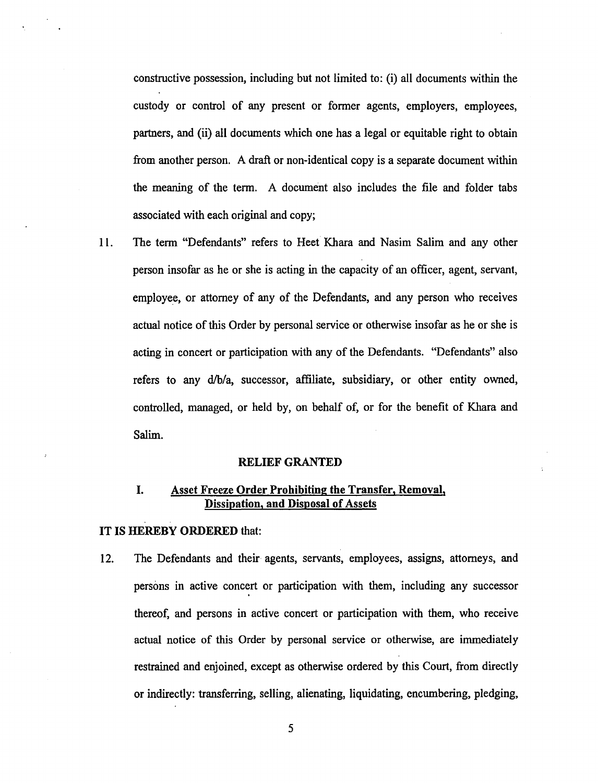constructive possession, including but not limited to: (i) all documents within the custody or control of any present or former agents, employers, employees, partners, and (ii) all documents which one has a legal or equitable right to obtain from another person. A draft or non-identical copy is a separate document within the meaning of the term. A document also includes the file and folder tabs associated with each original and copy;

11. The term "Defendants" refers to Heet Khara and Nasim Salim and any other person insofar as he or she is acting in the capacity of an officer, agent, servant, employee, or attorney of any of the Defendants, and any person who receives actual notice of this Order by personal service or otherwise insofar as he or she is acting in concert or participation with any of the Defendants. "Defendants" also refers to any d/b/a, successor, affiliate, subsidiary, or other entity owned, controlled, managed, or held by, on behalf of, or for the benefit of Khara and Salim.

## RELIEF GRANTED

# I. Asset Freeze Order Prohibiting the Transfer, Removal, Dissipation, and Disposal of Assets

#### IT IS HEREBY ORDERED that:

12. The Defendants and their agents, servants, employees, assigns, attorneys, and persons in active concert or participation with them, including any successor thereof, and persons in active concert or participation with them, who receive actual notice of this Order by personal service or otherwise, are immediately restrained and enjoined, except as otherwise ordered by this Court, from directly or indirectly: transferring, selling, alienating, liquidating, encumbering, pledging,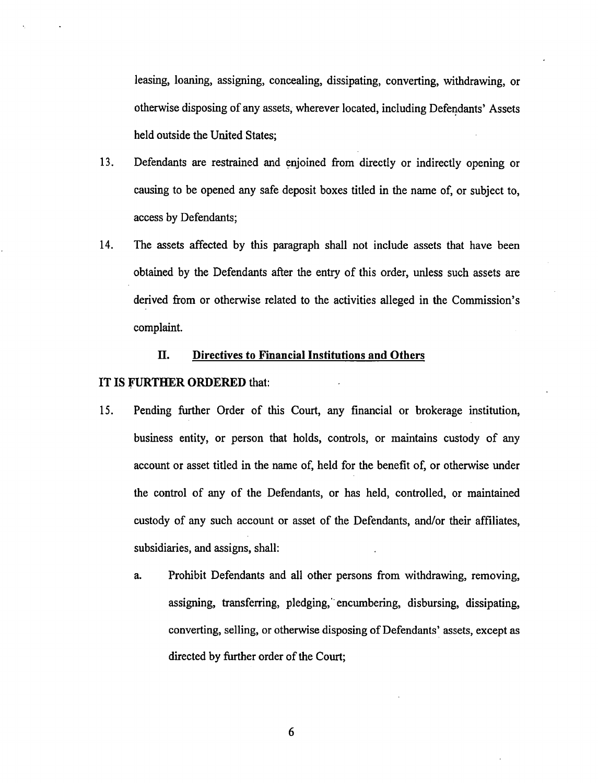leasing, loaning, assigning, concealing, dissipating, converting, withdrawing, or otherwise disposing of any assets, wherever located, including Defendants' Assets held outside the United States;

- 13. Defendants are restrained and enjoined from directly or indirectly opening or causing to be opened any safe deposit boxes titled in the name of, or subject to, access by Defendants;
- 14. The assets affected by this paragraph shall not include assets that have been obtained by the Defendants after the entry of this order, unless such assets are derived from or otherwise related to the activities alleged in the Commission's complaint.

# IT. **Directives to Financial Institutions and Others**

## IT IS FURTHER ORDERED that:

- 15. Pending further Order of this Court, any fmancial or brokerage institution, business entity, or person that holds, controls, or maintains custody of any account or asset titled in the name of, held for the benefit of, or otherwise under the control of any of the Defendants, or has held, controlled, or maintained custody of any such account or asset of the Defendants, and/or their affiliates, subsidiaries, and assigns, shall:
	- a. Prohibit Defendants and all other persons from withdrawing, removing, assigning, transferring, pledging, encumbering, disbursing, dissipating, converting, selling, or otherwise disposing of Defendants' assets, except as directed by further order of the Court;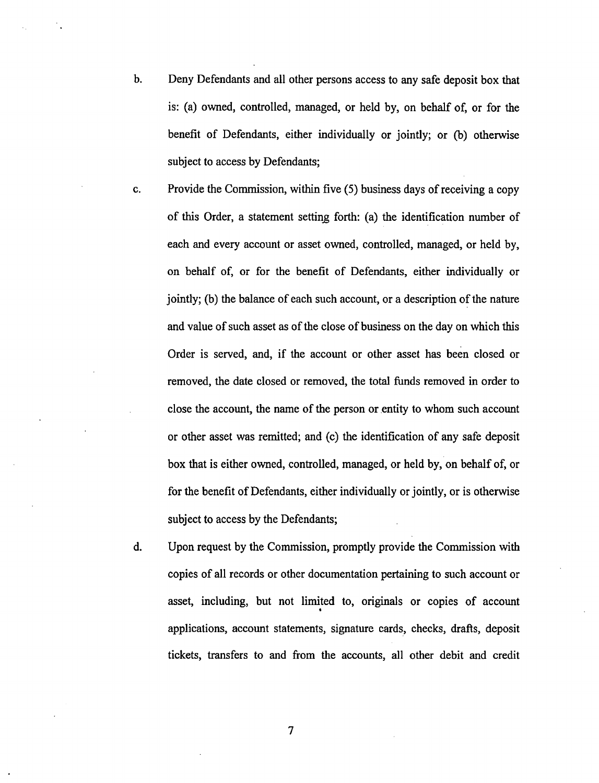- b. Deny Defendants and all other persons access to any safe deposit box that is: (a) owned, controlled, managed, or held by, on behalf of, or for the benefit of Defendants, either individually or jointly; or (b) otherwise subject to access by Defendants;
- c. Provide the Commission, within five (5) business days of receiving a copy of this Order, a statement setting forth: (a) the identification number of each and every account or asset owned, controlled, managed, or held by, on behalf of, or for the benefit of Defendants, either individually or jointly; (b) the balance of each such account, or a description of the nature and value of such asset as of the close of business on the day on which this Order is served, and, if the account or other asset has been closed or removed, the date closed or removed, the total funds removed in order to close the account, the name of the person or entity to whom such account or other asset was remitted; and (c) the identification of any safe deposit box that is either owned, controlled, managed, or held by, on behalf of, or for the benefit of Defendants, either individually or jointly, or is otherwise subject to access by the Defendants;
- d. Upon request by the Commission, promptly provide the Commission with copies of all records or other documentation pertaining to such account or asset, including, but not limited to, originals or copies of account • applications, account statements, signature cards, checks, drafts, deposit tickets, transfers to and from the accounts, all other debit and credit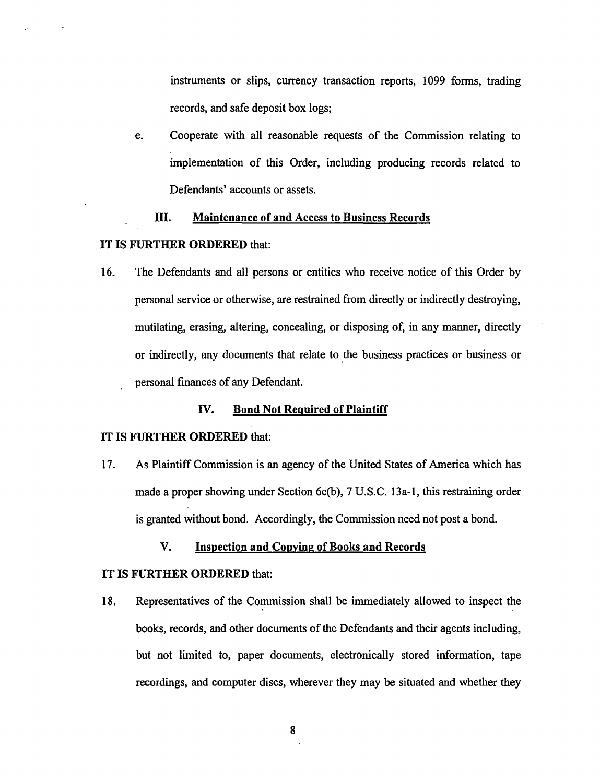instruments or slips, currency transaction reports, 1099 forms, trading records, and safe deposit box logs;

e. Cooperate with all reasonable requests of the Commission relating to implementation of this Order, including producing records related to Defendants' accounts or assets.

# III. Maintenance of and Access to Business Records

## IT IS FURTHER ORDERED that:

16. The Defendants and all persons or entities who receive notice of this Order by personal service or otherwise, are restrained from directly or indirectly destroying, mutilating, erasing, altering, concealing, or disposing of, in any manner, directly or indirectly, any documents that relate to the business practices or business or personal finances of any Defendant.

# IV. Bond Not Required of Plaintiff

#### IT IS FURTHER ORDERED that:

17. As Plaintiff Commission is an agency of the United States of America which has made a proper showing under Section 6c(b), 7 U.S.C. 13a-1, this restraining order is granted without bond. Accordingly, the Commission need not post a bond.

V. Inspection and Copying of Books and Records

## IT IS FURTHER ORDERED that:

18. Representatives of the Commission shall be immediately allowed to inspect the books, records, and other documents of the Defendants and their agents including, but not limited to, paper documents, electronically stored information, tape recordings, and computer discs, wherever they may be situated and whether they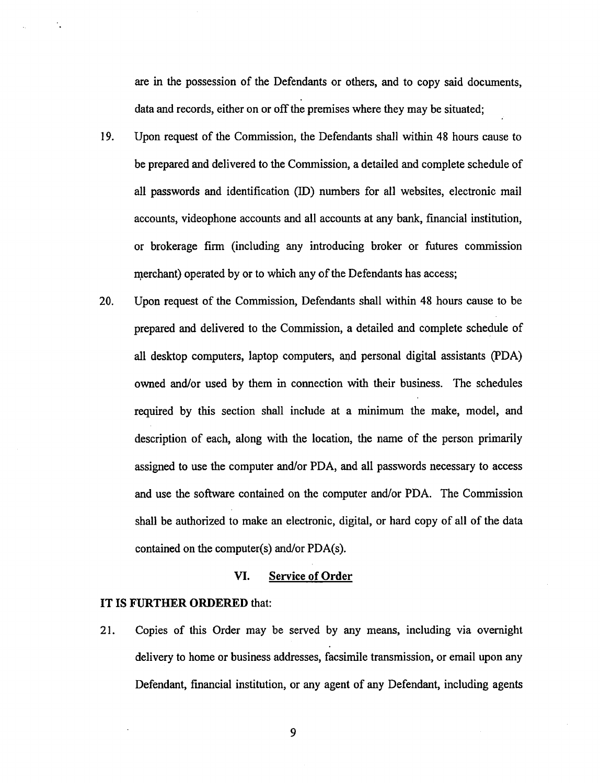are in the possession of the Defendants or others, and to copy said documents, data and records, either on or off the premises where they may be situated;

- 19. Upon request of the Commission, the Defendants shall within 48 hours cause to be prepared and delivered to the Commission, a detailed and complete schedule of all passwords and identification (ID) numbers for all websites, electronic mail accounts, videophone accounts and all accounts at any bank, financial institution, or brokerage firm (including any introducing broker or futures commission merchant) operated by or to which any of the Defendants has access;
- 20. Upon request of the Commission, Defendants shall within 48 hours cause to be prepared and delivered to the Commission, a detailed and complete schedule of all desktop computers, laptop computers, and personal digital assistants (PDA) owned and/or used by them in connection with their business. The schedules required by this section shall include at a minimum the make, model, and description of each, along with the location, the name of the person primarily assigned to use the computer and/or PDA, and all passwords necessary to access and use the software contained on the computer and/or PDA. The Commission shall be authorized to make an electronic, digital, or hard copy of all of the data contained on the computer(s) and/or PDA(s).

### VI. Service of Order

#### IT IS FURTHER ORDERED that:

21. Copies of this Order may be served by any means, including via overnight delivery to home or business addresses, facsimile transmission, or email upon any Defendant, fmancial institution, or any agent of any Defendant, including agents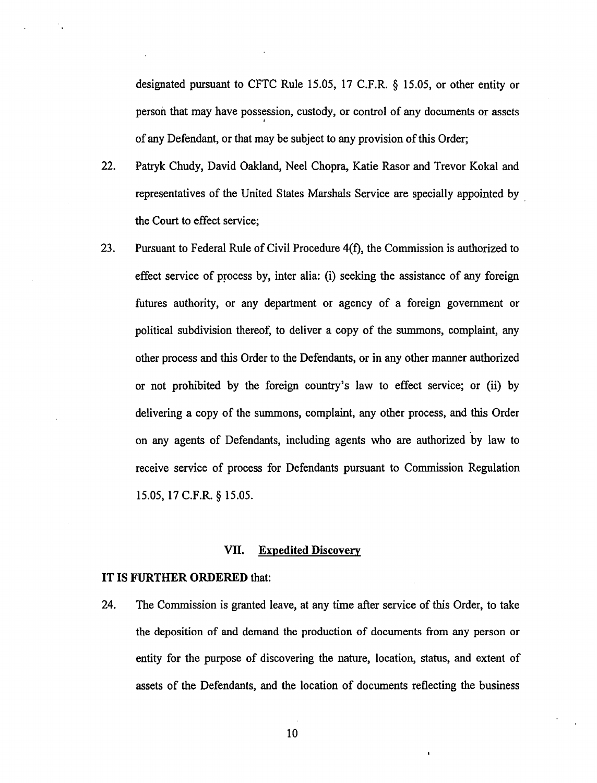designated pursuant to CFTC Rule 15.05, 17 C.F.R. § 15.05, or other entity or person that may have possession, custody, or control of any documents or assets I of any Defendant, or that may be subject to any provision of this Order;

- 22. Patryk Chudy, David Oakland, Neel Chopra, Katie Rasor and Trevor Kokal and representatives of the United States Marshals Service are specially appointed by the Court to effect service;
- 23. Pursuant to Federal Rule of Civil Procedure 4(f), the Commission is authorized to effect service of process by, inter alia: (i) seeking the assistance of any foreign futures authority, or any department or agency of a foreign government or political subdivision thereof, to deliver a copy of the summons, complaint, any other process and this Order to the Defendants, or in any other manner authorized or not prohibited by the foreign country's law to effect service; or (ii) by delivering a copy of the summons, complaint, any other process, and this Order on any agents of Defendants, including agents who are authorized by law to receive service of process for Defendants pursuant to Commission Regulation 15.05,17 C.F.R. § 15.05.

## VII. Expedited Discovery

#### IT IS FURTHER ORDERED that:

24. The Commission is granted leave, at any time after service of this Order, to take the deposition of and demand the production of documents from any person or entity for the purpose of discovering the nature, location, status, and extent of assets of the Defendants, and the location of documents reflecting the business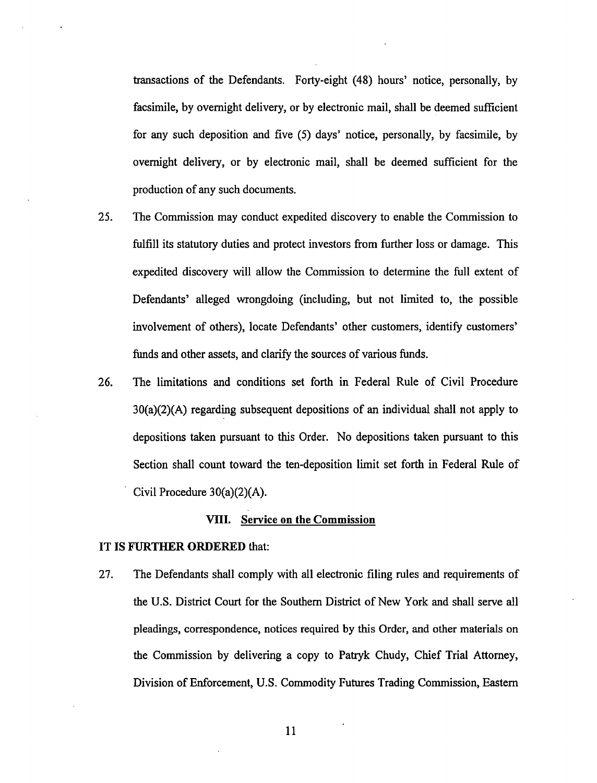transactions of the Defendants. Forty-eight (48) hours' notice, personally, by facsimile, by overnight delivery, or by electronic mail, shall be deemed sufficient for any such deposition and five (5) days' notice, personally, by facsimile, by overnight delivery, or by electronic mail, shall be deemed sufficient for the production of any such documents.

- 25. The Commission may conduct expedited discovery to enable the Commission to fulfill its statutory duties and protect investors from further loss or damage. This expedited discovery will allow the Commission to determine the full extent of Defendants' alleged wrongdoing (including, but not limited to, the possible involvement of others), locate Defendants' other customers, identify customers' funds and other assets, and clarify the sources of various funds.
- 26. The limitations and conditions set forth in Federal Rule of Civil Procedure 30(a)(2)(A) regarding subsequent depositions of an individual shall not apply to depositions taken pursuant to this Order. No depositions taken pursuant to this Section shall count toward the ten-deposition limit set forth in Federal Rule of Civil Procedure 30(a)(2)(A).

## VIII. Service on the Commission

#### IT IS FURTHER ORDERED that:

27. The Defendants shall comply with all electronic filing rules and requirements of the U.S. District Court for the Southern District of New York and shall serve all pleadings, correspondence, notices required by this Order, and other materials on the Commission by delivering a copy to Patryk Chudy, Chief Trial Attorney, Division of Enforcement, U.S. Commodity Futures Trading Commission, Eastern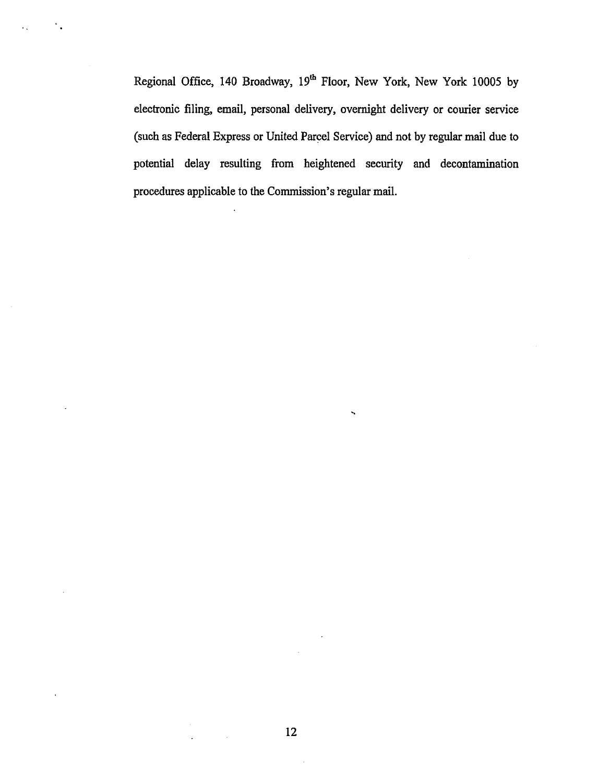Regional Office, 140 Broadway, 19<sup>th</sup> Floor, New York, New York 10005 by electronic filing, email, personal delivery, overnight delivery or courier service (such as Federal Express or United Parcel Service) and not by regular mail due to potential delay resulting from heightened security and decontamination procedures applicable to the Commission's regular mail.

 $\alpha$  .  $\mathcal{L}^{\mathcal{L}}$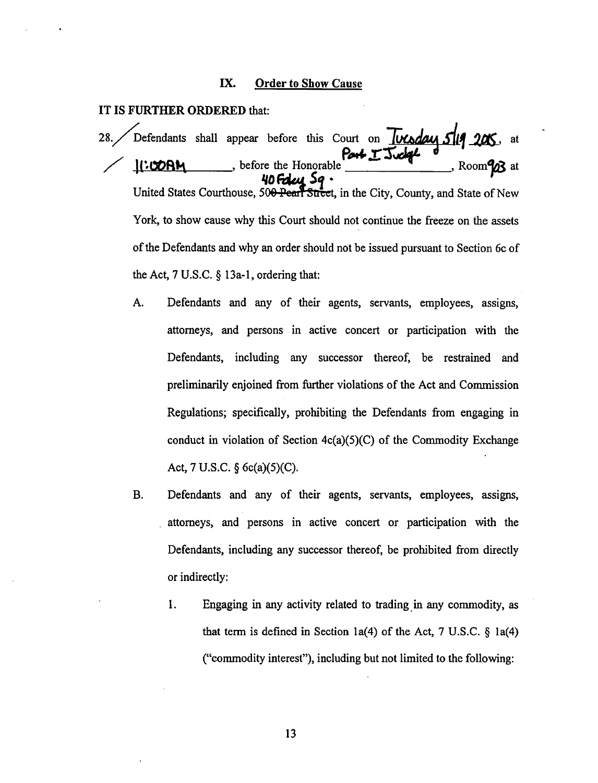# IX. Order to Show Cause

## IT IS FURTHER ORDERED that:

28. Defendants shall appear before this Court on *Juceday 5/19 20*5, at  $\sqrt{11.000 \text{ N}}$ , before the Honorable  $\frac{12.3 \text{ kg}}{11.000 \text{ N}}$ , Room $\frac{93}{11}$  at *'ID FdtAt 5!* · United States Courthouse, 500 Pearl Street, in the City, County, and State of New York, to show cause why this Court should not continue the freeze on the assets of the Defendants and why an order should not be issued pursuant to Section 6c of the Act, 7 U.S.C. § 13a-1, ordering that:

- A. Defendants and any of their agents, servants, employees, assigns, attorneys, and persons in active concert or participation with the Defendants, including any successor thereof, be restrained and preliminarily enjoined from further violations of the Act and Commission Regulations; specifically, prohibiting the Defendants from engaging in conduct in violation of Section  $4c(a)(5)(C)$  of the Commodity Exchange Act, 7 U.S.C. § 6c(a)(5)(C).
- B. Defendants and any of their agents, servants, employees, assigns, attorneys, and persons in active concert or participation with the Defendants, including any successor thereof, be prohibited from directly or indirectly:
	- 1. Engaging in any activity related to trading in any commodity, as that term is defined in Section 1a(4) of the Act,  $7 \text{ U.S.C. }$  § 1a(4) ("commodity interest"), including but not limited to the following: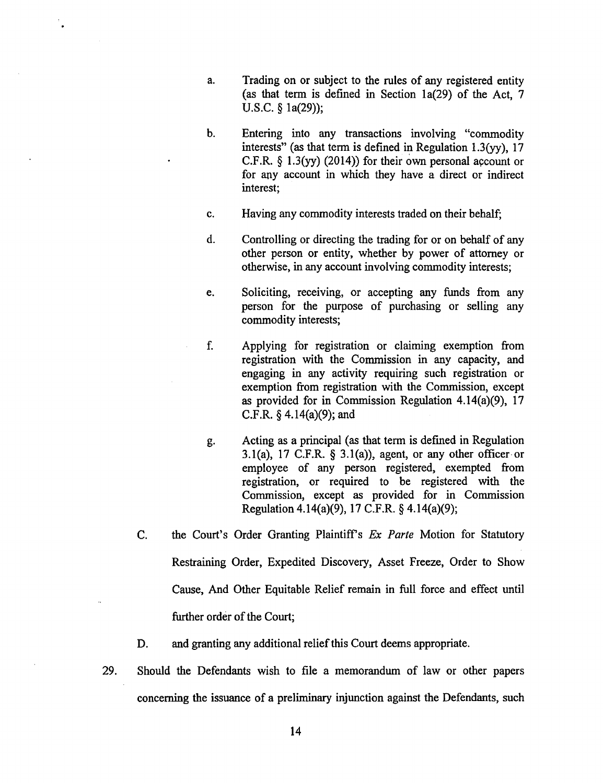- a. Trading on or subject to the rules of any registered entity (as that term is defined in Section 1a(29) of the Act, 7 U.S.C. § 1a(29));
- b. Entering into any transactions involving "commodity interests" (as that term is defined in Regulation 1.3(yy), 17 C.F.R.  $\S$  1.3(yy) (2014)) for their own personal account or for any account in which they have a direct or indirect interest;
- c. Having any commodity interests traded on their behalf;
- d. Controlling or directing the trading for or on behalf of any other person or entity, whether by power of attorney or otherwise, in any account involving commodity interests;
- e. Soliciting, receiving, or accepting any funds from any person for the purpose of purchasing or selling any commodity interests;
- f. Applying for registration or claiming exemption from registration with the Commission in any capacity, and engaging in any activity requiring such registration or exemption from registration with the Commission, except as provided for in Commission Regulation 4.14(a)(9), 17 C.F.R.  $\S$  4.14(a)(9); and
- g. Acting as a principal (as that term is defined in Regulation 3.1(a), 17 C.F.R.  $\S$  3.1(a)), agent, or any other officer or employee of any person registered, exempted from registration, or required to be registered with the Commission, except as provided for in Commission Regulation 4.14(a)(9), 17 C.F.R. § 4.14(a)(9);
- C. the Court's Order Granting Plaintiffs *Ex Parte* Motion for Statutory Restraining Order, Expedited Discovery, Asset Freeze, Order to Show Cause, And Other Equitable Relief remain in full force and effect until further order of the Court;
- D. and granting any additional relief this Court deems appropriate.
- 29. Should the Defendants wish to file a memorandum of law or other papers concerning the issuance of a preliminary injunction against the Defendants, such